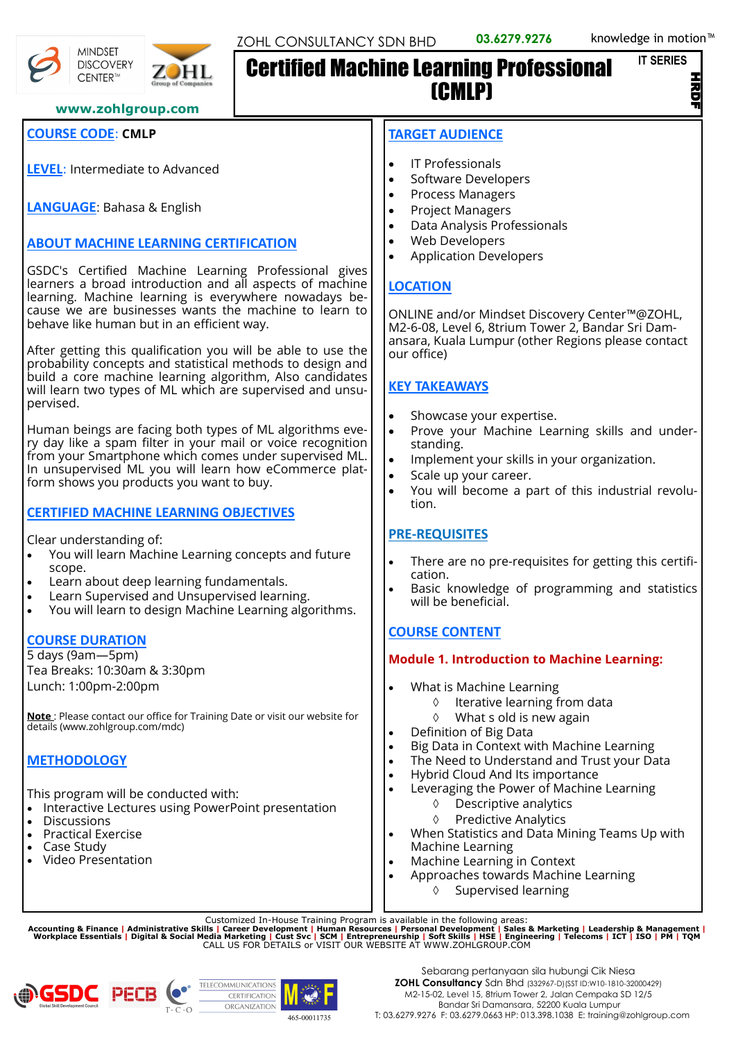

Po

CENTER™

**MINDSET DISCOVERY** 

#### **www.zohlgroup.com**

# **COURSE CODE**: **CMLP**

**LEVEL**: Intermediate to Advanced

**LANGUAGE**: Bahasa & English

# **ABOUT MACHINE LEARNING CERTIFICATION**

GSDC's Certified Machine Learning Professional gives learners a broad introduction and all aspects of machine learning. Machine learning is everywhere nowadays because we are businesses wants the machine to learn to behave like human but in an efficient way.

After getting this qualification you will be able to use the probability concepts and statistical methods to design and build a core machine learning algorithm, Also candidates will learn two types of ML which are supervised and unsupervised.

Human beings are facing both types of ML algorithms every day like a spam filter in your mail or voice recognition from your Smartphone which comes under supervised ML. In unsupervised ML you will learn how eCommerce platform shows you products you want to buy.

## **CERTIFIED MACHINE LEARNING OBJECTIVES**

Clear understanding of:

- You will learn Machine Learning concepts and future scope.
- Learn about deep learning fundamentals.
- Learn Supervised and Unsupervised learning.
- You will learn to design Machine Learning algorithms.

#### **COURSE DURATION**

5 days (9am—5pm) Tea Breaks: 10:30am & 3:30pm Lunch: 1:00pm-2:00pm

**Note** : Please contact our office for Training Date or visit our website for details (www.zohlgroup.com/mdc)

## **METHODOLOGY**

This program will be conducted with:

- Interactive Lectures using PowerPoint presentation
- **Discussions**
- Practical Exercise
- Case Study
- Video Presentation

#### **TARGET AUDIENCE**

Certified Machine Learning Professional

- IT Professionals
- Software Developers

(CMLP)

- Process Managers
- Project Managers
- Data Analysis Professionals
- Web Developers
- Application Developers

# **LOCATION**

ONLINE and/or Mindset Discovery Center™@ZOHL, M2-6-08, Level 6, 8trium Tower 2, Bandar Sri Damansara, Kuala Lumpur (other Regions please contact our office)

# **KEY TAKEAWAYS**

- Showcase your expertise.
- Prove your Machine Learning skills and understanding.
- Implement your skills in your organization.
- Scale up your career.
- You will become a part of this industrial revolution.

# **PRE-REQUISITES**

- There are no pre-requisites for getting this certification.
- Basic knowledge of programming and statistics will be beneficial.

# **COURSE CONTENT**

## **Module 1. Introduction to Machine Learning:**

- What is Machine Learning
	- $\Diamond$  Iterative learning from data
	- What s old is new again
- Definition of Big Data
- Big Data in Context with Machine Learning
- The Need to Understand and Trust your Data
- Hybrid Cloud And Its importance
- Leveraging the Power of Machine Learning
	- Descriptive analytics
	- Predictive Analytics
- When Statistics and Data Mining Teams Up with Machine Learning
- Machine Learning in Context
- Approaches towards Machine Learning
	- $\Diamond$  Supervised learning

Customized In-House Training Program is available in the following areas:<br>Accounting & Finance | Administrative Skills | Career Development | Human Resources | Personal Development | Sales & Marketing | Leadership & Manag



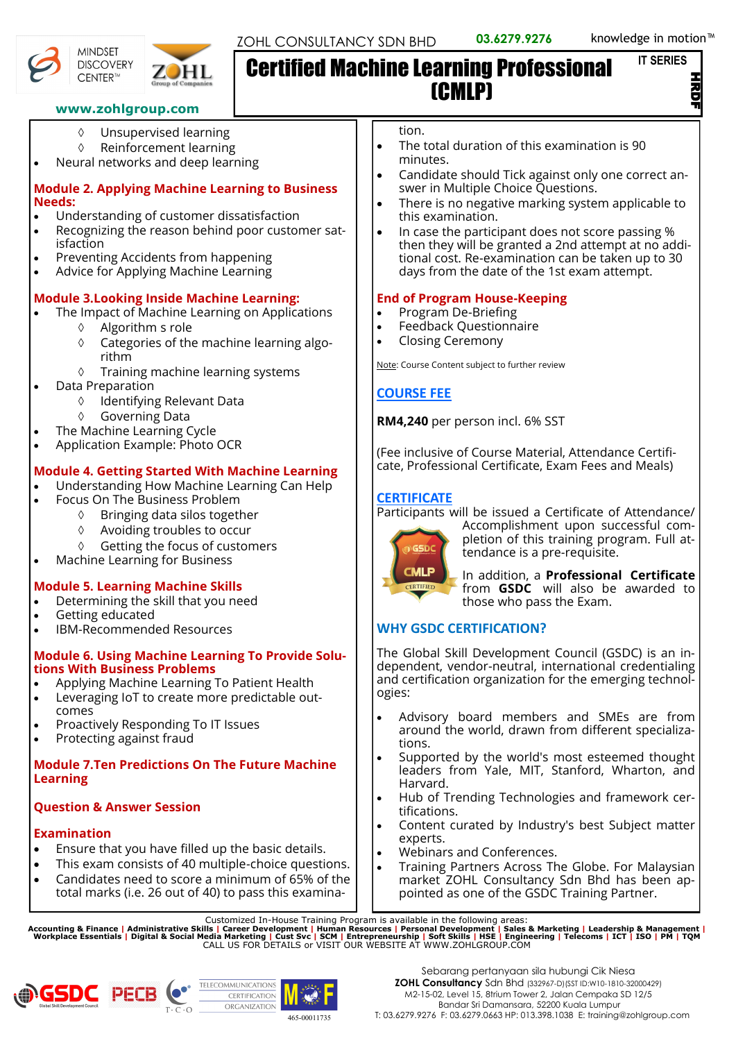#### **IT SERIES**

경<br>드





# Certified Machine Learning Professional (CMLP)

#### **www.zohlgroup.com**

- Unsupervised learning
- Reinforcement learning
- Neural networks and deep learning

#### **Module 2. Applying Machine Learning to Business Needs:**

- Understanding of customer dissatisfaction
- Recognizing the reason behind poor customer satisfaction
- Preventing Accidents from happening
- Advice for Applying Machine Learning

## **Module 3.Looking Inside Machine Learning:**

- The Impact of Machine Learning on Applications
	- $\Diamond$  Algorithm s role
	- Categories of the machine learning algorithm
	- $\Diamond$  Training machine learning systems
	- Data Preparation
		- Identifying Relevant Data
		- Governing Data
	- The Machine Learning Cycle
- Application Example: Photo OCR

# **Module 4. Getting Started With Machine Learning**

- Understanding How Machine Learning Can Help
	- Focus On The Business Problem
		- $\Diamond$  Bringing data silos together
		- Avoiding troubles to occur
		- ♦ Getting the focus of customers
- Machine Learning for Business

# **Module 5. Learning Machine Skills**

- Determining the skill that you need
- Getting educated
- IBM-Recommended Resources

#### **Module 6. Using Machine Learning To Provide Solutions With Business Problems**

- Applying Machine Learning To Patient Health
- Leveraging IoT to create more predictable outcomes
- Proactively Responding To IT Issues
- Protecting against fraud

## **Module 7.Ten Predictions On The Future Machine Learning**

# **Question & Answer Session**

## **Examination**

- Ensure that you have filled up the basic details.
- This exam consists of 40 multiple-choice questions.
- Candidates need to score a minimum of 65% of the total marks (i.e. 26 out of 40) to pass this examina-

tion.

- The total duration of this examination is 90 minutes.
- Candidate should Tick against only one correct answer in Multiple Choice Questions.
- There is no negative marking system applicable to this examination.
- In case the participant does not score passing % then they will be granted a 2nd attempt at no additional cost. Re-examination can be taken up to 30 days from the date of the 1st exam attempt.

## **End of Program House-Keeping**

- Program De-Briefing
- Feedback Questionnaire
- Closing Ceremony

Note: Course Content subject to further review

# **COURSE FEE**

**RM4,240** per person incl. 6% SST

(Fee inclusive of Course Material, Attendance Certificate, Professional Certificate, Exam Fees and Meals)

## **CERTIFICATE**

Participants will be issued a Certificate of Attendance/



Accomplishment upon successful completion of this training program. Full attendance is a pre-requisite.

In addition, a **Professional Certificate** from **GSDC** will also be awarded to those who pass the Exam.

# **WHY GSDC CERTIFICATION?**

The Global Skill Development Council (GSDC) is an independent, vendor-neutral, international credentialing and certification organization for the emerging technologies:

- Advisory board members and SMEs are from around the world, drawn from different specializations.
- Supported by the world's most esteemed thought leaders from Yale, MIT, Stanford, Wharton, and Harvard.
- Hub of Trending Technologies and framework certifications.
- Content curated by Industry's best Subject matter experts.
- Webinars and Conferences.
- Training Partners Across The Globe. For Malaysian market ZOHL Consultancy Sdn Bhd has been appointed as one of the GSDC Training Partner.

Customized In-House Training Program is available in the following areas:<br>Accounting & Finance | Administrative Skills | Career Development | Human Resources | Personal Development | Sales & Marketing | Leadership & Manag